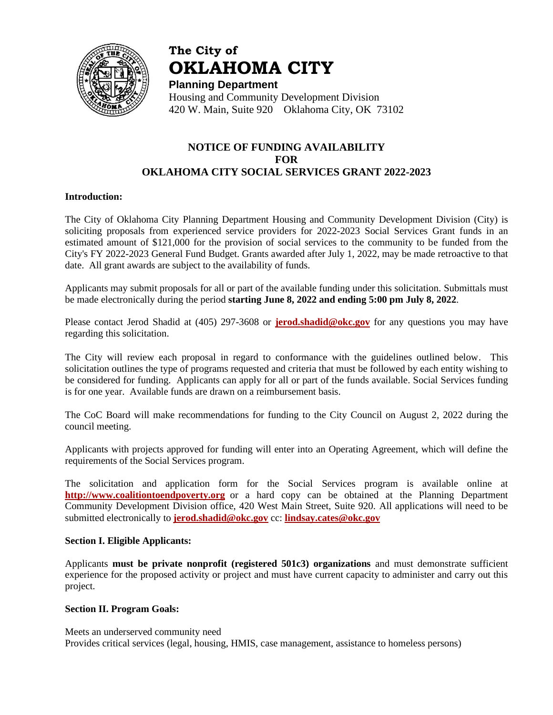

# **The City of OKLAHOMA CITY**

**Planning Department** Housing and Community Development Division 420 W. Main, Suite 920 Oklahoma City, OK 73102

# **NOTICE OF FUNDING AVAILABILITY FOR OKLAHOMA CITY SOCIAL SERVICES GRANT 2022-2023**

# **Introduction:**

The City of Oklahoma City Planning Department Housing and Community Development Division (City) is soliciting proposals from experienced service providers for 2022-2023 Social Services Grant funds in an estimated amount of \$121,000 for the provision of social services to the community to be funded from the City's FY 2022-2023 General Fund Budget. Grants awarded after July 1, 2022, may be made retroactive to that date. All grant awards are subject to the availability of funds.

Applicants may submit proposals for all or part of the available funding under this solicitation. Submittals must be made electronically during the period **starting June 8, 2022 and ending 5:00 pm July 8, 2022**.

Please contact Jerod Shadid at (405) 297-3608 or **[jerod.shadid@okc.gov](mailto:jerod.shadid@okc.gov)** for any questions you may have regarding this solicitation.

The City will review each proposal in regard to conformance with the guidelines outlined below. This solicitation outlines the type of programs requested and criteria that must be followed by each entity wishing to be considered for funding. Applicants can apply for all or part of the funds available. Social Services funding is for one year. Available funds are drawn on a reimbursement basis.

The CoC Board will make recommendations for funding to the City Council on August 2, 2022 during the council meeting.

Applicants with projects approved for funding will enter into an Operating Agreement, which will define the requirements of the Social Services program.

The solicitation and application form for the Social Services program is available online at **[http://www.coalitiontoendpoverty.org](../../2018/SOCIAL%20SERVICES%20GRANT/Solicitation/Social%20Services%20Solicitation%20FY%2014-15.doc)** or a hard copy can be obtained at the Planning Department Community Development Division office, 420 West Main Street, Suite 920. All applications will need to be submitted electronically to **[jerod.shadid@okc.gov](mailto:jerod.shadid@okc.gov)** cc: **[lindsay.cates@okc.gov](mailto:lindsay.cates@okc.gov)**

#### **Section I. Eligible Applicants:**

Applicants **must be private nonprofit (registered 501c3) organizations** and must demonstrate sufficient experience for the proposed activity or project and must have current capacity to administer and carry out this project.

#### **Section II. Program Goals:**

Meets an underserved community need Provides critical services (legal, housing, HMIS, case management, assistance to homeless persons)